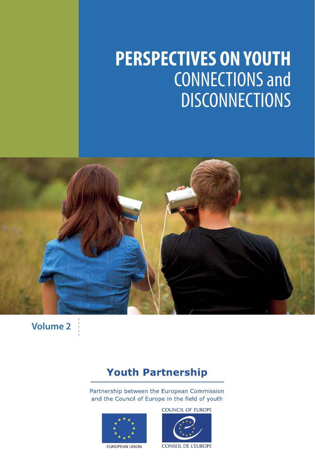# **PERSPECTIVES ON YOUTH** CONNECTIONS and **DISCONNECTIONS**



**Volume 2**

### **Youth Partnership**

Partnership between the European Commission and the Council of Europe in the field of youth



EUROPEAN UNION

COUNCIL OF EUROPE

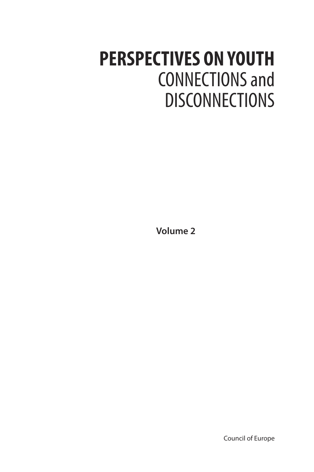# **PERSPECTIVES ON YOUTH** CONNECTIONS and **DISCONNECTIONS**

**Volume 2**

Council of Europe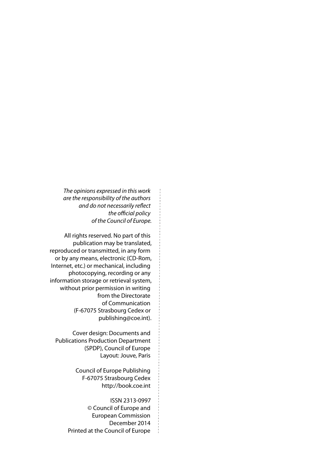*The opinions expressed in this work are the responsibility of the authors and do not necessarily refect*  the official policy *of the Council of Europe.* 

All rights reserved. No part of this publication may be translated, reproduced or transmitted, in any form or by any means, electronic (CD‑Rom, Internet, etc.) or mechanical, including photocopying, recording or any information storage or retrieval system, without prior permission in writing from the Directorate of Communication (F‑67075 Strasbourg Cedex or [publishing@coe.int](mailto:publishing@coe.int)).

Cover design: Documents and Publications Production Department (SPDP), Council of Europe Layout: Jouve, Paris

> Council of Europe Publishing F‑67075 Strasbourg Cedex <http://book.coe.int>

ISSN 2313‑0997 © Council of Europe and European Commission December 2014 Printed at the Council of Europe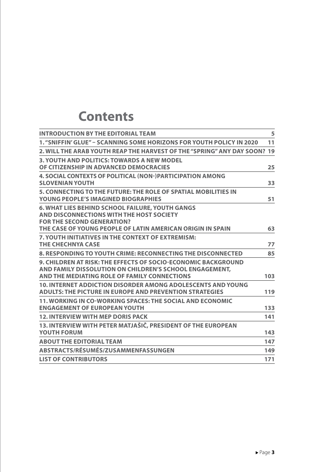## **Contents**

| <b>INTRODUCTION BY THE EDITORIAL TEAM</b>                                                                                                                                                             | 5   |
|-------------------------------------------------------------------------------------------------------------------------------------------------------------------------------------------------------|-----|
| 1. "SNIFFIN' GLUE" - SCANNING SOME HORIZONS FOR YOUTH POLICY IN 2020                                                                                                                                  | 11  |
| 2. WILL THE ARAB YOUTH REAP THE HARVEST OF THE "SPRING" ANY DAY SOON?                                                                                                                                 | 19  |
| <b>3. YOUTH AND POLITICS: TOWARDS A NEW MODEL</b><br>OF CITIZENSHIP IN ADVANCED DEMOCRACIES                                                                                                           | 25  |
| <b>4. SOCIAL CONTEXTS OF POLITICAL (NON-)PARTICIPATION AMONG</b><br><b>SLOVENIAN YOUTH</b>                                                                                                            | 33  |
| 5. CONNECTING TO THE FUTURE: THE ROLE OF SPATIAL MOBILITIES IN<br><b>YOUNG PEOPLE'S IMAGINED BIOGRAPHIES</b>                                                                                          | 51  |
| <b>6. WHAT LIES BEHIND SCHOOL FAILURE, YOUTH GANGS</b><br>AND DISCONNECTIONS WITH THE HOST SOCIETY<br><b>FOR THE SECOND GENERATION?</b><br>THE CASE OF YOUNG PEOPLE OF LATIN AMERICAN ORIGIN IN SPAIN | 63  |
| 7. YOUTH INITIATIVES IN THE CONTEXT OF EXTREMISM:<br><b>THE CHECHNYA CASE</b>                                                                                                                         | 77  |
| 8. RESPONDING TO YOUTH CRIME: RECONNECTING THE DISCONNECTED                                                                                                                                           | 85  |
| 9. CHILDREN AT RISK: THE EFFECTS OF SOCIO-ECONOMIC BACKGROUND<br>AND FAMILY DISSOLUTION ON CHILDREN'S SCHOOL ENGAGEMENT.<br>AND THE MEDIATING ROLE OF FAMILY CONNECTIONS                              | 103 |
| <b>10. INTERNET ADDICTION DISORDER AMONG ADOLESCENTS AND YOUNG</b><br><b>ADULTS: THE PICTURE IN EUROPE AND PREVENTION STRATEGIES</b>                                                                  | 119 |
| 11. WORKING IN CO-WORKING SPACES: THE SOCIAL AND ECONOMIC<br><b>ENGAGEMENT OF EUROPEAN YOUTH</b>                                                                                                      | 133 |
| <b>12. INTERVIEW WITH MEP DORIS PACK</b>                                                                                                                                                              | 141 |
| 13. INTERVIEW WITH PETER MATJAŠIČ, PRESIDENT OF THE EUROPEAN<br><b>YOUTH FORUM</b>                                                                                                                    | 143 |
| <b>ABOUT THE EDITORIAL TEAM</b>                                                                                                                                                                       | 147 |
| ABSTRACTS/RÉSUMÉS/ZUSAMMENFASSUNGEN                                                                                                                                                                   | 149 |
| <b>LIST OF CONTRIBUTORS</b>                                                                                                                                                                           | 171 |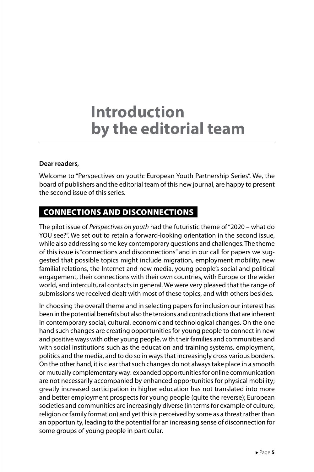# **Introduction by the editorial team**

#### **Dear readers,**

Welcome to "Perspectives on youth: European Youth Partnership Series". We, the board of publishers and the editorial team of this new journal, are happy to present the second issue of this series.

#### CONNECTIONS AND DISCONNECTIONS

The pilot issue of *Perspectives on youth* had the futuristic theme of "2020 – what do YOU see?". We set out to retain a forward-looking orientation in the second issue, while also addressing some key contemporary questions and challenges. The theme of this issue is "connections and disconnections" and in our call for papers we suggested that possible topics might include migration, employment mobility, new familial relations, the Internet and new media, young people's social and political engagement, their connections with their own countries, with Europe or the wider world, and intercultural contacts in general. We were very pleased that the range of submissions we received dealt with most of these topics, and with others besides.

In choosing the overall theme and in selecting papers for inclusion our interest has been in the potential benefts but also the tensions and contradictions that are inherent in contemporary social, cultural, economic and technological changes. On the one hand such changes are creating opportunities for young people to connect in new and positive ways with other young people, with their families and communities and with social institutions such as the education and training systems, employment, politics and the media, and to do so in ways that increasingly cross various borders. On the other hand, it is clear that such changes do not always take place in a smooth or mutually complementary way: expanded opportunities for online communication are not necessarily accompanied by enhanced opportunities for physical mobility; greatly increased participation in higher education has not translated into more and better employment prospects for young people (quite the reverse); European societies and communities are increasingly diverse (in terms for example of culture, religion or family formation) and yet this is perceived by some as a threat rather than an opportunity, leading to the potential for an increasing sense of disconnection for some groups of young people in particular.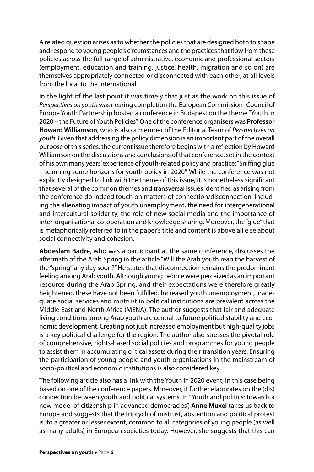A related question arises as to whether the policies that are designed both to shape and respond to young people's circumstances and the practices that flow from these policies across the full range of administrative, economic and professional sectors (employment, education and training, justice, health, migration and so on) are themselves appropriately connected or disconnected with each other, at all levels from the local to the international.

In the light of the last point it was timely that just as the work on this issue of *Perspectives on youth* was nearing completion the European Commission–Council of Europe Youth Partnership hosted a conference in Budapest on the theme "Youth in 2020 – the Future of Youth Policies". One of the conference organisers was **Professor Howard Williamson**, who is also a member of the Editorial Team of *Perspectives on youth*. Given that addressing the policy dimension is an important part of the overall purpose of this series, the current issue therefore begins with a refection by Howard Williamson on the discussions and conclusions of that conference, set in the context of his own many years' experience of youth-related policy and practice: "Sniffing glue – scanning some horizons for youth policy in 2020". While the conference was not explicitly designed to link with the theme of this issue, it is nonetheless signifcant that several of the common themes and transversal issues identifed as arising from the conference do indeed touch on matters of connection/disconnection, including the alienating impact of youth unemployment, the need for intergenerational and intercultural solidarity, the role of new social media and the importance of inter-organisational co-operation and knowledge sharing. Moreover, the "glue" that is metaphorically referred to in the paper's title and content is above all else about social connectivity and cohesion.

**Abdeslam Badre**, who was a participant at the same conference, discusses the aftermath of the Arab Spring in the article "Will the Arab youth reap the harvest of the "spring" any day soon?" He states that disconnection remains the predominant feeling among Arab youth. Although young people were perceived as an important resource during the Arab Spring, and their expectations were therefore greatly heightened, these have not been fulfilled. Increased youth unemployment, inadequate social services and mistrust in political institutions are prevalent across the Middle East and North Africa (MENA). The author suggests that fair and adequate living conditions among Arab youth are central to future political stability and economic development. Creating not just increased employment but high-quality jobs is a key political challenge for the region. The author also stresses the pivotal role of comprehensive, rights‑based social policies and programmes for young people to assist them in accumulating critical assets during their transition years. Ensuring the participation of young people and youth organisations in the mainstream of socio‑political and economic institutions is also considered key.

The following article also has a link with the Youth in 2020 event, in this case being based on one of the conference papers. Moreover, it further elaborates on the (dis) connection between youth and political systems. In "Youth and politics: towards a new model of citizenship in advanced democracies", **Anne Muxel** takes us back to Europe and suggests that the triptych of mistrust, abstention and political protest is, to a greater or lesser extent, common to all categories of young people (as well as many adults) in European societies today. However, she suggests that this can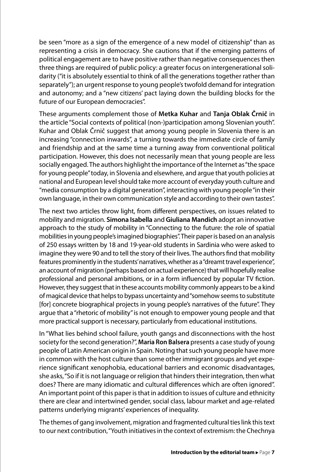be seen "more as a sign of the emergence of a new model of citizenship" than as representing a crisis in democracy. She cautions that if the emerging patterns of political engagement are to have positive rather than negative consequences then three things are required of public policy: a greater focus on intergenerational solidarity ("it is absolutely essential to think of all the generations together rather than separately"); an urgent response to young people's twofold demand for integration and autonomy; and a "new citizens' pact laying down the building blocks for the future of our European democracies".

These arguments complement those of **Metka Kuhar** and **Tanja Oblak Črnič** in the article "Social contexts of political (non‑)participation among Slovenian youth". Kuhar and Oblak Črnič suggest that among young people in Slovenia there is an increasing "connection inwards", a turning towards the immediate circle of family and friendship and at the same time a turning away from conventional political participation. However, this does not necessarily mean that young people are less socially engaged. The authors highlight the importance of the Internet as "the space for young people" today, in Slovenia and elsewhere, and argue that youth policies at national and European level should take more account of everyday youth culture and "media consumption by a digital generation", interacting with young people "in their own language, in their own communication style and according to their own tastes".

The next two articles throw light, from diferent perspectives, on issues related to mobility and migration. **Simona Isabella** and **Giuliana Mandich** adopt an innovative approach to the study of mobility in "Connecting to the future: the role of spatial mobilities in young people's imagined biographies". Their paper is based on an analysis of 250 essays written by 18 and 19‑year‑old students in Sardinia who were asked to imagine they were 90 and to tell the story of their lives. The authors fnd that mobility features prominently in the students' narratives, whether as a "dreamt travel experience", an account of migration (perhaps based on actual experience) that will hopefully realise professional and personal ambitions, or in a form infuenced by popular TV fction. However, they suggest that in these accounts mobility commonly appears to be a kind of magical device that helps to bypass uncertainty and "somehow seems to substitute [for] concrete biographical projects in young people's narratives of the future". They argue that a "rhetoric of mobility" is not enough to empower young people and that more practical support is necessary, particularly from educational institutions.

In "What lies behind school failure, youth gangs and disconnections with the host society for the second generation?", **Maria Ron Balsera** presents a case study of young people of Latin American origin in Spain. Noting that such young people have more in common with the host culture than some other immigrant groups and yet experience signifcant xenophobia, educational barriers and economic disadvantages, she asks, "So if it is not language or religion that hinders their integration, then what does? There are many idiomatic and cultural diferences which are often ignored". An important point of this paper is that in addition to issues of culture and ethnicity there are clear and intertwined gender, social class, labour market and age‑related patterns underlying migrants' experiences of inequality.

The themes of gang involvement, migration and fragmented cultural ties link this text to our next contribution, "Youth initiatives in the context of extremism: the Chechnya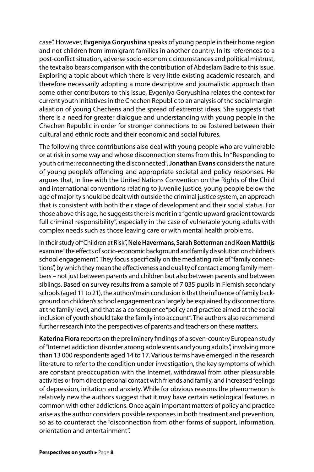case". However, **Evgeniya Goryushina** speaks of young people in their home region and not children from immigrant families in another country. In its references to a post‑confict situation, adverse socio‑economic circumstances and political mistrust, the text also bears comparison with the contribution of Abdeslam Badre to this issue. Exploring a topic about which there is very little existing academic research, and therefore necessarily adopting a more descriptive and journalistic approach than some other contributors to this issue, Evgeniya Goryushina relates the context for current youth initiatives in the Chechen Republic to an analysis of the social marginalisation of young Chechens and the spread of extremist ideas. She suggests that there is a need for greater dialogue and understanding with young people in the Chechen Republic in order for stronger connections to be fostered between their cultural and ethnic roots and their economic and social futures.

The following three contributions also deal with young people who are vulnerable or at risk in some way and whose disconnection stems from this. In "Responding to youth crime: reconnecting the disconnected", **Jonathan Evans** considers the nature of young people's offending and appropriate societal and policy responses. He argues that, in line with the United Nations Convention on the Rights of the Child and international conventions relating to juvenile justice, young people below the age of majority should be dealt with outside the criminal justice system, an approach that is consistent with both their stage of development and their social status. For those above this age, he suggests there is merit in a "gentle upward gradient towards full criminal responsibility", especially in the case of vulnerable young adults with complex needs such as those leaving care or with mental health problems.

In their study of "Children at Risk", **Nele Havermans**, **Sarah Botterman** and **Koen Matthijs** examine "the efects of socio‑economic background and family dissolution on children's school engagement". They focus specifically on the mediating role of "family connections", by which they mean the effectiveness and quality of contact among family members – not just between parents and children but also between parents and between siblings. Based on survey results from a sample of 7 035 pupils in Flemish secondary schools (aged 11 to 21), the authors' main conclusion is that the influence of family background on children's school engagement can largely be explained by disconnections at the family level, and that as a consequence "policy and practice aimed at the social inclusion of youth should take the family into account". The authors also recommend further research into the perspectives of parents and teachers on these matters.

**Katerina Flora** reports on the preliminary fndings of a seven‑country European study of "Internet addiction disorder among adolescents and young adults", involving more than 13 000 respondents aged 14 to 17. Various terms have emerged in the research literature to refer to the condition under investigation, the key symptoms of which are constant preoccupation with the Internet, withdrawal from other pleasurable activities or from direct personal contact with friends and family, and increased feelings of depression, irritation and anxiety. While for obvious reasons the phenomenon is relatively new the authors suggest that it may have certain aetiological features in common with other addictions. Once again important matters of policy and practice arise as the author considers possible responses in both treatment and prevention, so as to counteract the "disconnection from other forms of support, information, orientation and entertainment".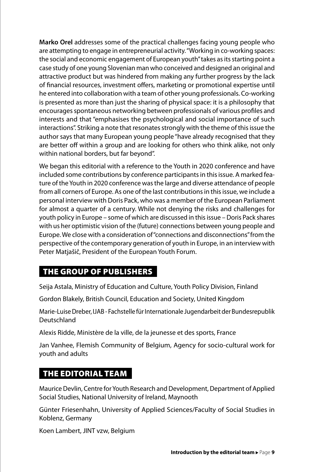**Marko Orel** addresses some of the practical challenges facing young people who are attempting to engage in entrepreneurial activity. "Working in co-working spaces: the social and economic engagement of European youth" takes as its starting point a case study of one young Slovenian man who conceived and designed an original and attractive product but was hindered from making any further progress by the lack of financial resources, investment offers, marketing or promotional expertise until he entered into collaboration with a team of other young professionals. Co‑working is presented as more than just the sharing of physical space: it is a philosophy that encourages spontaneous networking between professionals of various profles and interests and that "emphasises the psychological and social importance of such interactions". Striking a note that resonates strongly with the theme of this issue the author says that many European young people "have already recognised that they are better off within a group and are looking for others who think alike, not only within national borders, but far beyond".

We began this editorial with a reference to the Youth in 2020 conference and have included some contributions by conference participants in this issue. A marked feature of the Youth in 2020 conference was the large and diverse attendance of people from all corners of Europe. As one of the last contributions in this issue, we include a personal interview with Doris Pack, who was a member of the European Parliament for almost a quarter of a century. While not denying the risks and challenges for youth policy in Europe – some of which are discussed in this issue – Doris Pack shares with us her optimistic vision of the (future) connections between young people and Europe. We close with a consideration of "connections and disconnections" from the perspective of the contemporary generation of youth in Europe, in an interview with Peter Matjašič, President of the European Youth Forum.

#### THE GROUP OF PUBLISHERS

Seija Astala, Ministry of Education and Culture, Youth Policy Division, Finland

Gordon Blakely, British Council, Education and Society, United Kingdom

Marie‑Luise Dreber, IJAB ‑ Fachstelle für Internationale Jugendarbeit der Bundesrepublik Deutschland

Alexis Ridde, Ministère de la ville, de la jeunesse et des sports, France

Jan Vanhee, Flemish Community of Belgium, Agency for socio‑cultural work for youth and adults

#### THE EDITORIAL TEAM

Maurice Devlin, Centre for Youth Research and Development, Department of Applied Social Studies, National University of Ireland, Maynooth

Günter Friesenhahn, University of Applied Sciences/Faculty of Social Studies in Koblenz, Germany

Koen Lambert, JINT vzw, Belgium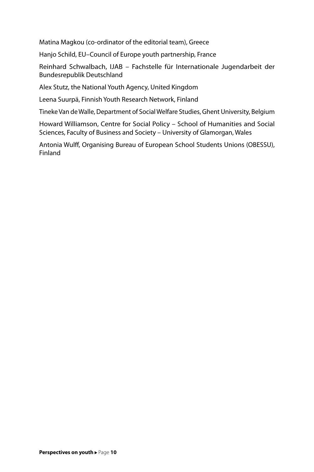Matina Magkou (co‑ordinator of the editorial team), Greece

Hanjo Schild, EU–Council of Europe youth partnership, France

Reinhard Schwalbach, IJAB – Fachstelle für Internationale Jugendarbeit der Bundesrepublik Deutschland

Alex Stutz, the National Youth Agency, United Kingdom

Leena Suurpä, Finnish Youth Research Network, Finland

Tineke Van de Walle, Department of Social Welfare Studies, Ghent University, Belgium

Howard Williamson, Centre for Social Policy – School of Humanities and Social Sciences, Faculty of Business and Society – University of Glamorgan, Wales

Antonia Wulf, Organising Bureau of European School Students Unions (OBESSU), Finland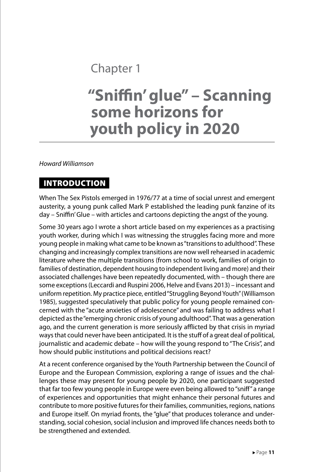### Chapter 1

## **"Snifn' glue" – Scanning some horizons for youth policy in 2020**

*Howard Williamson*

#### **INTRODUCTION**

When The Sex Pistols emerged in 1976/77 at a time of social unrest and emergent austerity, a young punk called Mark P established the leading punk fanzine of its day – Snifn' Glue – with articles and cartoons depicting the angst of the young.

Some 30 years ago I wrote a short article based on my experiences as a practising youth worker, during which I was witnessing the struggles facing more and more young people in making what came to be known as "transitions to adulthood". These changing and increasingly complex transitions are now well rehearsed in academic literature where the multiple transitions (from school to work, families of origin to families of destination, dependent housing to independent living and more) and their associated challenges have been repeatedly documented, with – though there are some exceptions (Leccardi and Ruspini 2006, Helve and Evans 2013) – incessant and uniform repetition. My practice piece, entitled "Struggling Beyond Youth" (Williamson 1985), suggested speculatively that public policy for young people remained con‑ cerned with the "acute anxieties of adolescence" and was failing to address what I depicted as the "emerging chronic crisis of young adulthood". That was a generation ago, and the current generation is more seriously afflicted by that crisis in myriad ways that could never have been anticipated. It is the stuff of a great deal of political, journalistic and academic debate – how will the young respond to "The Crisis", and how should public institutions and political decisions react?

At a recent conference organised by the Youth Partnership between the Council of Europe and the European Commission, exploring a range of issues and the challenges these may present for young people by 2020, one participant suggested that far too few young people in Europe were even being allowed to "snif" a range of experiences and opportunities that might enhance their personal futures and contribute to more positive futures for their families, communities, regions, nations and Europe itself. On myriad fronts, the "glue" that produces tolerance and understanding, social cohesion, social inclusion and improved life chances needs both to be strengthened and extended.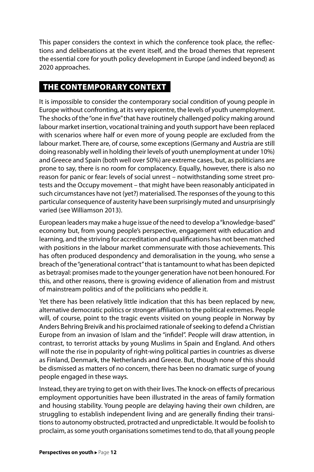This paper considers the context in which the conference took place, the reflections and deliberations at the event itself, and the broad themes that represent the essential core for youth policy development in Europe (and indeed beyond) as 2020 approaches.

#### THE CONTEMPORARY CONTEXT

It is impossible to consider the contemporary social condition of young people in Europe without confronting, at its very epicentre, the levels of youth unemployment. The shocks of the "one in fve" that have routinely challenged policy making around labour market insertion, vocational training and youth support have been replaced with scenarios where half or even more of young people are excluded from the labour market. There are, of course, some exceptions (Germany and Austria are still doing reasonably well in holding their levels of youth unemployment at under 10%) and Greece and Spain (both well over 50%) are extreme cases, but, as politicians are prone to say, there is no room for complacency. Equally, however, there is also no reason for panic or fear: levels of social unrest – notwithstanding some street protests and the Occupy movement – that might have been reasonably anticipated in such circumstances have not (yet?) materialised. The responses of the young to this particular consequence of austerity have been surprisingly muted and unsurprisingly varied (see Williamson 2013).

European leaders may make a huge issue of the need to develop a "knowledge-based" economy but, from young people's perspective, engagement with education and learning, and the striving for accreditation and qualifcations has not been matched with positions in the labour market commensurate with those achievements. This has often produced despondency and demoralisation in the young, who sense a breach of the "generational contract" that is tantamount to what has been depicted as betrayal: promises made to the younger generation have not been honoured. For this, and other reasons, there is growing evidence of alienation from and mistrust of mainstream politics and of the politicians who peddle it.

Yet there has been relatively little indication that this has been replaced by new, alternative democratic politics or stronger affiliation to the political extremes. People will, of course, point to the tragic events visited on young people in Norway by Anders Behring Breivik and his proclaimed rationale of seeking to defend a Christian Europe from an invasion of Islam and the "infdel". People will draw attention, in contrast, to terrorist attacks by young Muslims in Spain and England. And others will note the rise in popularity of right-wing political parties in countries as diverse as Finland, Denmark, the Netherlands and Greece. But, though none of this should be dismissed as matters of no concern, there has been no dramatic surge of young people engaged in these ways.

Instead, they are trying to get on with their lives. The knock-on effects of precarious employment opportunities have been illustrated in the areas of family formation and housing stability. Young people are delaying having their own children, are struggling to establish independent living and are generally finding their transitions to autonomy obstructed, protracted and unpredictable. It would be foolish to proclaim, as some youth organisations sometimes tend to do, that all young people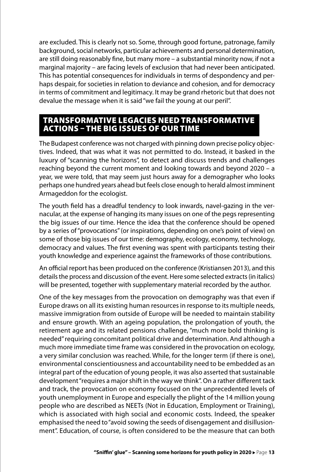are excluded. This is clearly not so. Some, through good fortune, patronage, family background, social networks, particular achievements and personal determination, are still doing reasonably fne, but many more – a substantial minority now, if not a marginal majority – are facing levels of exclusion that had never been anticipated. This has potential consequences for individuals in terms of despondency and perhaps despair, for societies in relation to deviance and cohesion, and for democracy in terms of commitment and legitimacy. It may be grand rhetoric but that does not devalue the message when it is said "we fail the young at our peril".

#### TRANSFORMATIVE LEGACIES NEED TRANSFORMATIVE ACTIONS – THE BIG ISSUES OF OUR TIME

The Budapest conference was not charged with pinning down precise policy objectives. Indeed, that was what it was not permitted to do. Instead, it basked in the luxury of "scanning the horizons", to detect and discuss trends and challenges reaching beyond the current moment and looking towards and beyond 2020 – a year, we were told, that may seem just hours away for a demographer who looks perhaps one hundred years ahead but feels close enough to herald almost imminent Armageddon for the ecologist.

The youth field has a dreadful tendency to look inwards, navel-gazing in the vernacular, at the expense of hanging its many issues on one of the pegs representing the big issues of our time. Hence the idea that the conference should be opened by a series of "provocations" (or inspirations, depending on one's point of view) on some of those big issues of our time: demography, ecology, economy, technology, democracy and values. The frst evening was spent with participants testing their youth knowledge and experience against the frameworks of those contributions.

An official report has been produced on the conference (Kristiansen 2013), and this details the process and discussion of the event. Here some selected extracts (in italics) will be presented, together with supplementary material recorded by the author.

One of the key messages from the provocation on demography was that even if Europe draws on all its existing human resources in response to its multiple needs, massive immigration from outside of Europe will be needed to maintain stability and ensure growth. With an ageing population, the prolongation of youth, the retirement age and its related pensions challenge, "much more bold thinking is needed" requiring concomitant political drive and determination. And although a much more immediate time frame was considered in the provocation on ecology, a very similar conclusion was reached. While, for the longer term (if there is one), environmental conscientiousness and accountability need to be embedded as an integral part of the education of young people, it was also asserted that sustainable development "requires a major shift in the way we think". On a rather diferent tack and track, the provocation on economy focused on the unprecedented levels of youth unemployment in Europe and especially the plight of the 14 million young people who are described as NEETs (Not in Education, Employment or Training), which is associated with high social and economic costs. Indeed, the speaker emphasised the need to "avoid sowing the seeds of disengagement and disillusionment". Education, of course, is often considered to be the measure that can both